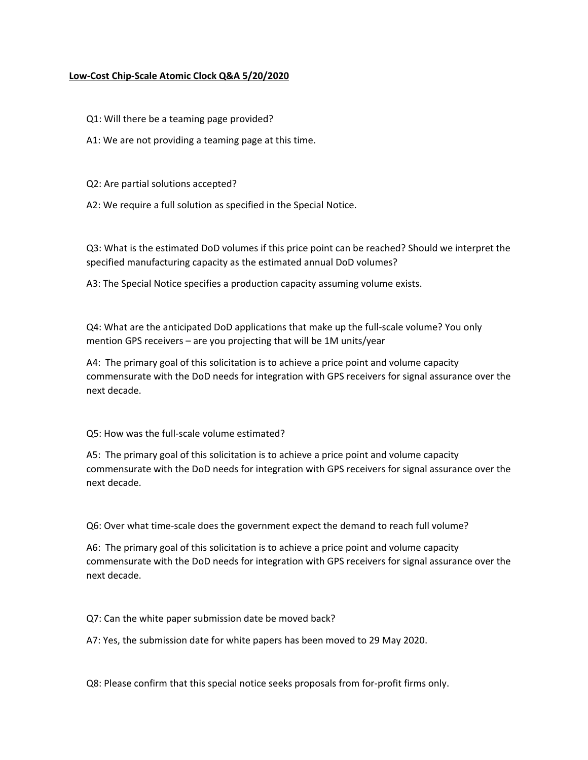## **Low‐Cost Chip‐Scale Atomic Clock Q&A 5/20/2020**

Q1: Will there be a teaming page provided?

A1: We are not providing a teaming page at this time.

Q2: Are partial solutions accepted?

A2: We require a full solution as specified in the Special Notice.

Q3: What is the estimated DoD volumes if this price point can be reached? Should we interpret the specified manufacturing capacity as the estimated annual DoD volumes?

A3: The Special Notice specifies a production capacity assuming volume exists.

Q4: What are the anticipated DoD applications that make up the full-scale volume? You only mention GPS receivers – are you projecting that will be 1M units/year

A4: The primary goal of this solicitation is to achieve a price point and volume capacity commensurate with the DoD needs for integration with GPS receivers for signal assurance over the next decade.

Q5: How was the full‐scale volume estimated?

A5: The primary goal of this solicitation is to achieve a price point and volume capacity commensurate with the DoD needs for integration with GPS receivers for signal assurance over the next decade.

Q6: Over what time‐scale does the government expect the demand to reach full volume?

A6: The primary goal of this solicitation is to achieve a price point and volume capacity commensurate with the DoD needs for integration with GPS receivers for signal assurance over the next decade.

Q7: Can the white paper submission date be moved back?

A7: Yes, the submission date for white papers has been moved to 29 May 2020.

Q8: Please confirm that this special notice seeks proposals from for‐profit firms only.